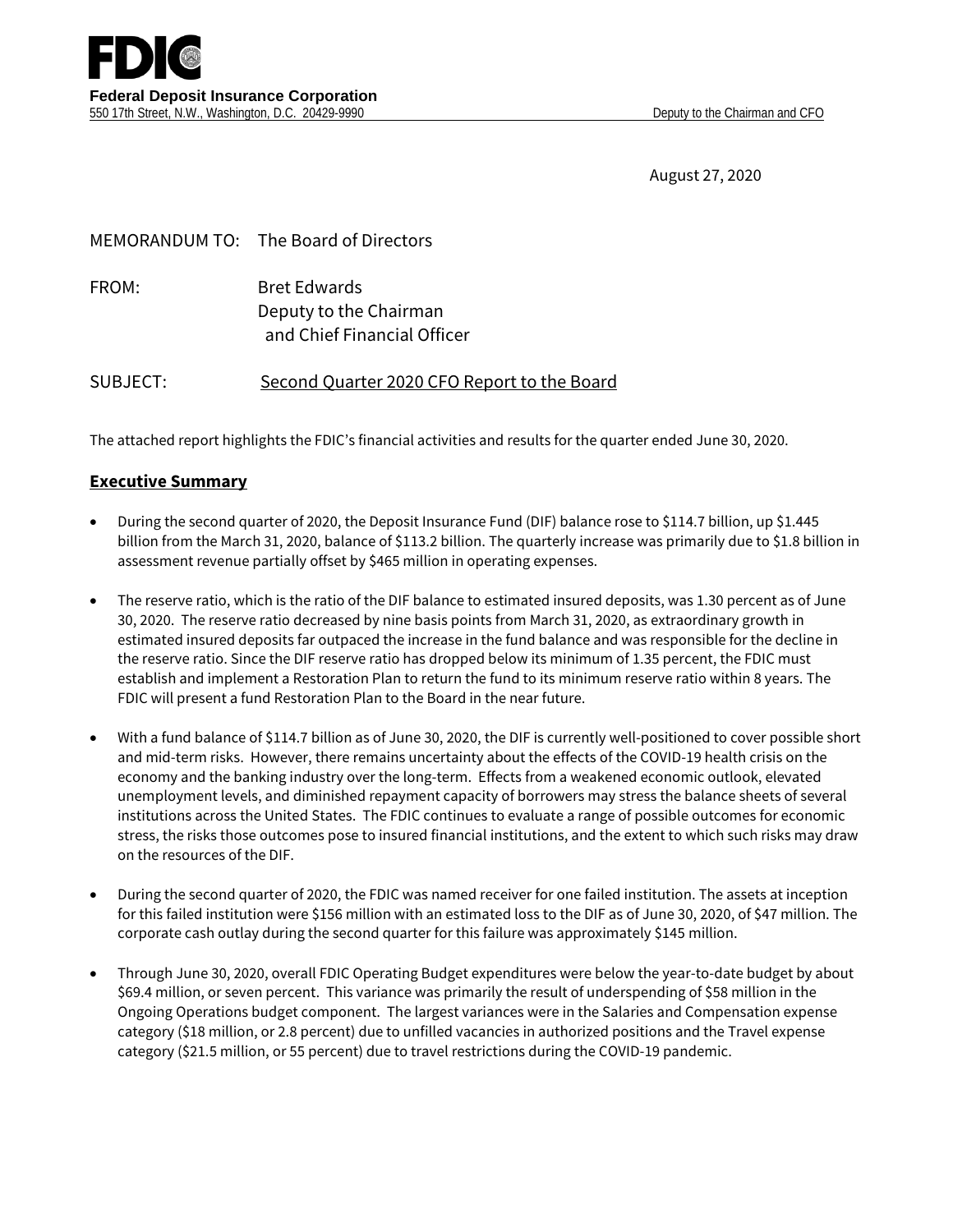August 27, 2020

# MEMORANDUM TO: The Board of Directors FROM: Bret Edwards Deputy to the Chairman and Chief Financial Officer

SUBJECT: Second Quarter 2020 CFO Report to the Board

The attached report highlights the FDIC's financial activities and results for the quarter ended June 30, 2020.

#### **Executive Summary**

- During the second quarter of 2020, the Deposit Insurance Fund (DIF) balance rose to \$114.7 billion, up \$1.445 billion from the March 31, 2020, balance of \$113.2 billion. The quarterly increase was primarily due to \$1.8 billion in assessment revenue partially offset by \$465 million in operating expenses.
- The reserve ratio, which is the ratio of the DIF balance to estimated insured deposits, was 1.30 percent as of June 30, 2020. The reserve ratio decreased by nine basis points from March 31, 2020, as extraordinary growth in estimated insured deposits far outpaced the increase in the fund balance and was responsible for the decline in the reserve ratio. Since the DIF reserve ratio has dropped below its minimum of 1.35 percent, the FDIC must establish and implement a Restoration Plan to return the fund to its minimum reserve ratio within 8 years. The FDIC will present a fund Restoration Plan to the Board in the near future.
- With a fund balance of \$114.7 billion as of June 30, 2020, the DIF is currently well-positioned to cover possible short and mid-term risks. However, there remains uncertainty about the effects of the COVID-19 health crisis on the economy and the banking industry over the long-term. Effects from a weakened economic outlook, elevated unemployment levels, and diminished repayment capacity of borrowers may stress the balance sheets of several institutions across the United States. The FDIC continues to evaluate a range of possible outcomes for economic stress, the risks those outcomes pose to insured financial institutions, and the extent to which such risks may draw on the resources of the DIF.
- During the second quarter of 2020, the FDIC was named receiver for one failed institution. The assets at inception for this failed institution were \$156 million with an estimated loss to the DIF as of June 30, 2020, of \$47 million. The corporate cash outlay during the second quarter for this failure was approximately \$145 million.
- Through June 30, 2020, overall FDIC Operating Budget expenditures were below the year-to-date budget by about \$69.4 million, or seven percent. This variance was primarily the result of underspending of \$58 million in the Ongoing Operations budget component. The largest variances were in the Salaries and Compensation expense category (\$18 million, or 2.8 percent) due to unfilled vacancies in authorized positions and the Travel expense category (\$21.5 million, or 55 percent) due to travel restrictions during the COVID-19 pandemic.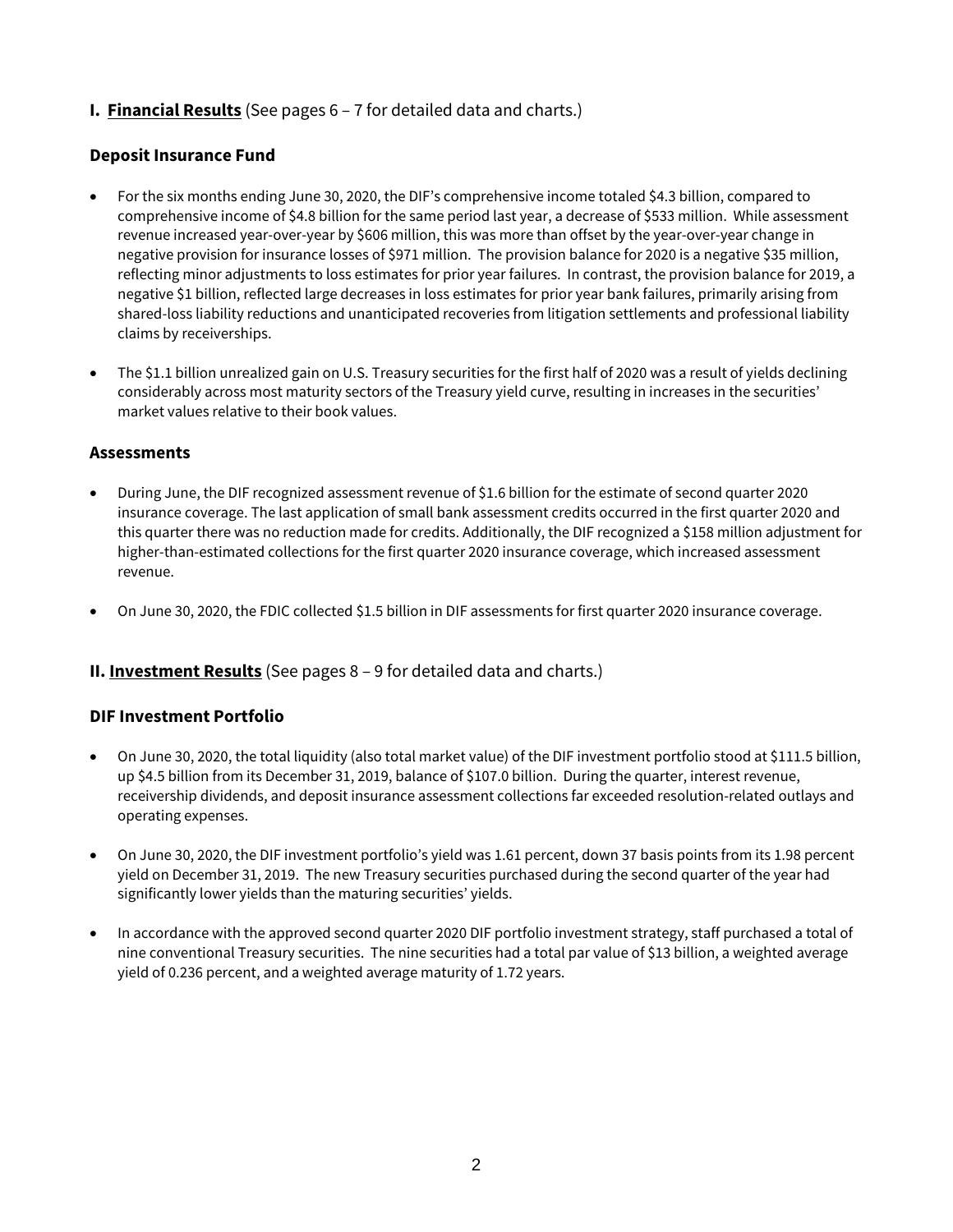## **I. Financial Results** (See pages 6 – 7 for detailed data and charts.)

## **Deposit Insurance Fund**

- For the six months ending June 30, 2020, the DIF's comprehensive income totaled \$4.3 billion, compared to comprehensive income of \$4.8 billion for the same period last year, a decrease of \$533 million. While assessment revenue increased year-over-year by \$606 million, this was more than offset by the year-over-year change in negative provision for insurance losses of \$971 million. The provision balance for 2020 is a negative \$35 million, reflecting minor adjustments to loss estimates for prior year failures. In contrast, the provision balance for 2019, a negative \$1 billion, reflected large decreases in loss estimates for prior year bank failures, primarily arising from shared-loss liability reductions and unanticipated recoveries from litigation settlements and professional liability claims by receiverships.
- The \$1.1 billion unrealized gain on U.S. Treasury securities for the first half of 2020 was a result of yields declining considerably across most maturity sectors of the Treasury yield curve, resulting in increases in the securities' market values relative to their book values.

### **Assessments**

- During June, the DIF recognized assessment revenue of \$1.6 billion for the estimate of second quarter 2020 insurance coverage. The last application of small bank assessment credits occurred in the first quarter 2020 and this quarter there was no reduction made for credits. Additionally, the DIF recognized a \$158 million adjustment for higher-than-estimated collections for the first quarter 2020 insurance coverage, which increased assessment revenue.
- On June 30, 2020, the FDIC collected \$1.5 billion in DIF assessments for first quarter 2020 insurance coverage.

### **II. Investment Results** (See pages 8 – 9 for detailed data and charts.)

### **DIF Investment Portfolio**

- On June 30, 2020, the total liquidity (also total market value) of the DIF investment portfolio stood at \$111.5 billion, up \$4.5 billion from its December 31, 2019, balance of \$107.0 billion. During the quarter, interest revenue, receivership dividends, and deposit insurance assessment collections far exceeded resolution-related outlays and operating expenses.
- On June 30, 2020, the DIF investment portfolio's yield was 1.61 percent, down 37 basis points from its 1.98 percent yield on December 31, 2019. The new Treasury securities purchased during the second quarter of the year had significantly lower yields than the maturing securities' yields.
- In accordance with the approved second quarter 2020 DIF portfolio investment strategy, staff purchased a total of nine conventional Treasury securities. The nine securities had a total par value of \$13 billion, a weighted average yield of 0.236 percent, and a weighted average maturity of 1.72 years.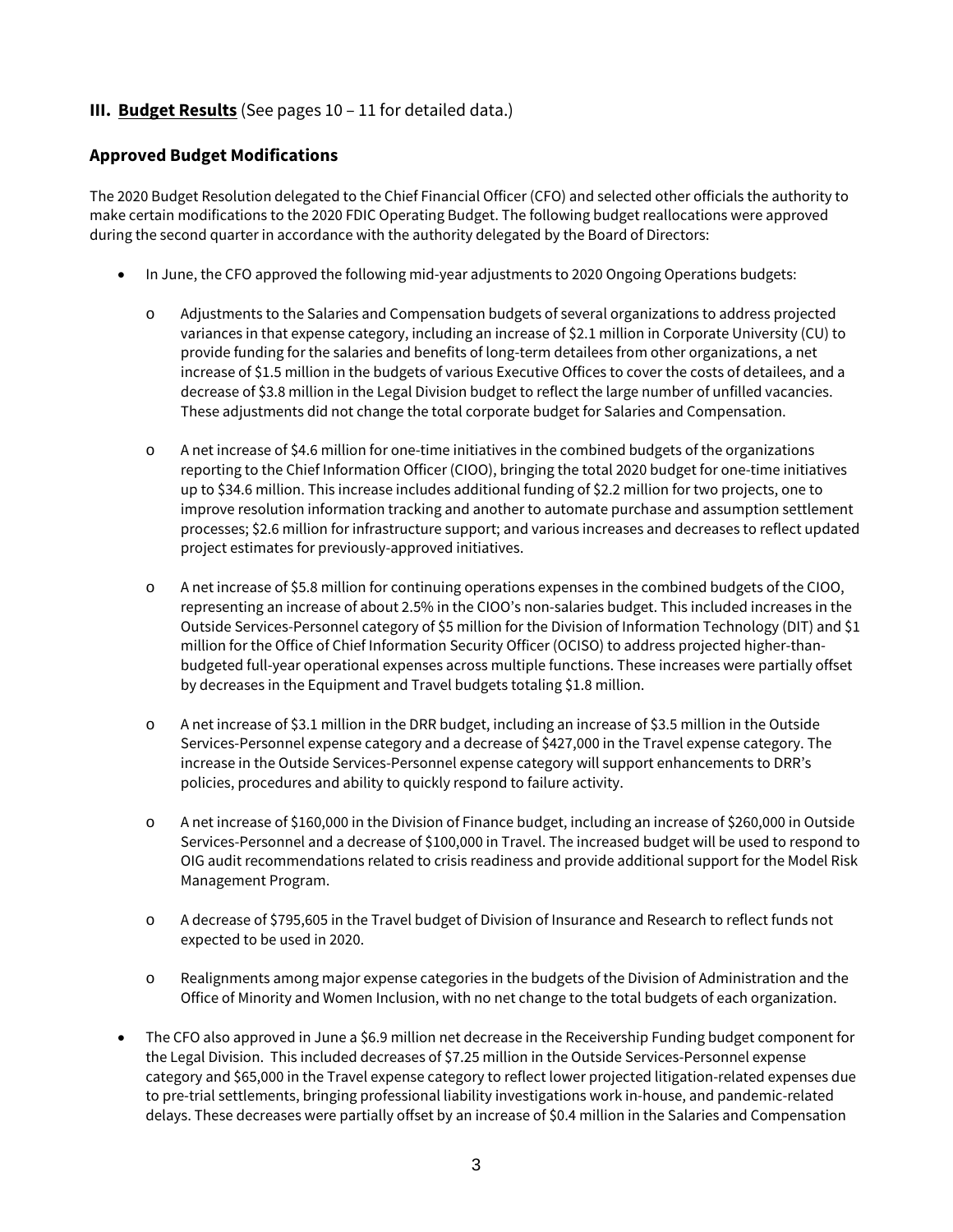## **III. Budget Results** (See pages 10 – 11 for detailed data.)

#### **Approved Budget Modifications**

The 2020 Budget Resolution delegated to the Chief Financial Officer (CFO) and selected other officials the authority to make certain modifications to the 2020 FDIC Operating Budget. The following budget reallocations were approved during the second quarter in accordance with the authority delegated by the Board of Directors:

- In June, the CFO approved the following mid-year adjustments to 2020 Ongoing Operations budgets:
	- o Adjustments to the Salaries and Compensation budgets of several organizations to address projected variances in that expense category, including an increase of \$2.1 million in Corporate University (CU) to provide funding for the salaries and benefits of long-term detailees from other organizations, a net increase of \$1.5 million in the budgets of various Executive Offices to cover the costs of detailees, and a decrease of \$3.8 million in the Legal Division budget to reflect the large number of unfilled vacancies. These adjustments did not change the total corporate budget for Salaries and Compensation.
	- o A net increase of \$4.6 million for one-time initiatives in the combined budgets of the organizations reporting to the Chief Information Officer (CIOO), bringing the total 2020 budget for one-time initiatives up to \$34.6 million. This increase includes additional funding of \$2.2 million for two projects, one to improve resolution information tracking and another to automate purchase and assumption settlement processes; \$2.6 million for infrastructure support; and various increases and decreases to reflect updated project estimates for previously-approved initiatives.
	- o A net increase of \$5.8 million for continuing operations expenses in the combined budgets of the CIOO, representing an increase of about 2.5% in the CIOO's non-salaries budget. This included increases in the Outside Services-Personnel category of \$5 million for the Division of Information Technology (DIT) and \$1 million for the Office of Chief Information Security Officer (OCISO) to address projected higher-thanbudgeted full-year operational expenses across multiple functions. These increases were partially offset by decreases in the Equipment and Travel budgets totaling \$1.8 million.
	- o A net increase of \$3.1 million in the DRR budget, including an increase of \$3.5 million in the Outside Services-Personnel expense category and a decrease of \$427,000 in the Travel expense category. The increase in the Outside Services-Personnel expense category will support enhancements to DRR's policies, procedures and ability to quickly respond to failure activity.
	- o A net increase of \$160,000 in the Division of Finance budget, including an increase of \$260,000 in Outside Services-Personnel and a decrease of \$100,000 in Travel. The increased budget will be used to respond to OIG audit recommendations related to crisis readiness and provide additional support for the Model Risk Management Program.
	- o A decrease of \$795,605 in the Travel budget of Division of Insurance and Research to reflect funds not expected to be used in 2020.
	- o Realignments among major expense categories in the budgets of the Division of Administration and the Office of Minority and Women Inclusion, with no net change to the total budgets of each organization.
- The CFO also approved in June a \$6.9 million net decrease in the Receivership Funding budget component for the Legal Division. This included decreases of \$7.25 million in the Outside Services-Personnel expense category and \$65,000 in the Travel expense category to reflect lower projected litigation-related expenses due to pre-trial settlements, bringing professional liability investigations work in-house, and pandemic-related delays. These decreases were partially offset by an increase of \$0.4 million in the Salaries and Compensation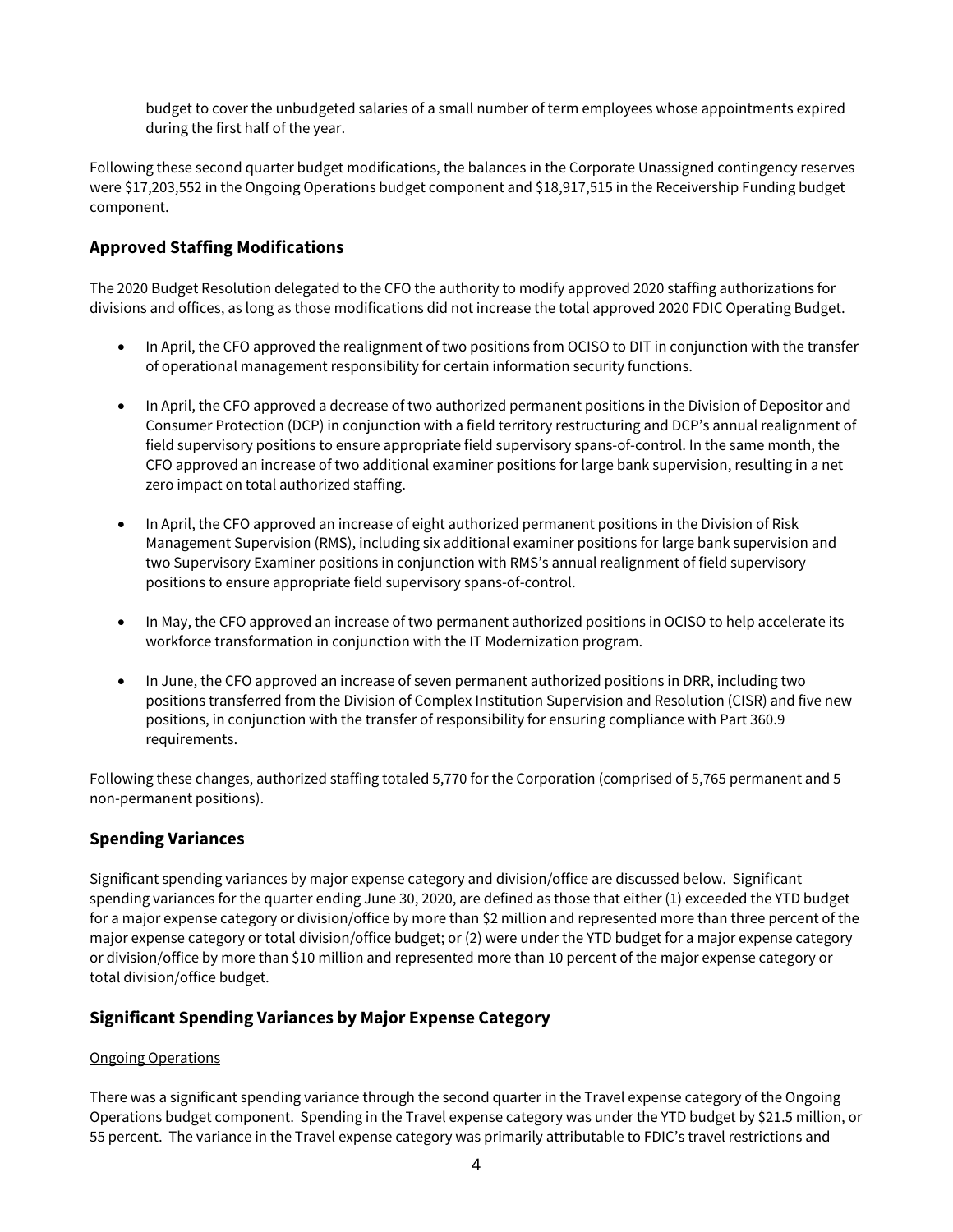budget to cover the unbudgeted salaries of a small number of term employees whose appointments expired during the first half of the year.

Following these second quarter budget modifications, the balances in the Corporate Unassigned contingency reserves were \$17,203,552 in the Ongoing Operations budget component and \$18,917,515 in the Receivership Funding budget component.

## **Approved Staffing Modifications**

The 2020 Budget Resolution delegated to the CFO the authority to modify approved 2020 staffing authorizations for divisions and offices, as long as those modifications did not increase the total approved 2020 FDIC Operating Budget.

- In April, the CFO approved the realignment of two positions from OCISO to DIT in conjunction with the transfer of operational management responsibility for certain information security functions.
- In April, the CFO approved a decrease of two authorized permanent positions in the Division of Depositor and Consumer Protection (DCP) in conjunction with a field territory restructuring and DCP's annual realignment of field supervisory positions to ensure appropriate field supervisory spans-of-control. In the same month, the CFO approved an increase of two additional examiner positions for large bank supervision, resulting in a net zero impact on total authorized staffing.
- In April, the CFO approved an increase of eight authorized permanent positions in the Division of Risk Management Supervision (RMS), including six additional examiner positions for large bank supervision and two Supervisory Examiner positions in conjunction with RMS's annual realignment of field supervisory positions to ensure appropriate field supervisory spans-of-control.
- In May, the CFO approved an increase of two permanent authorized positions in OCISO to help accelerate its workforce transformation in conjunction with the IT Modernization program.
- In June, the CFO approved an increase of seven permanent authorized positions in DRR, including two positions transferred from the Division of Complex Institution Supervision and Resolution (CISR) and five new positions, in conjunction with the transfer of responsibility for ensuring compliance with Part 360.9 requirements.

Following these changes, authorized staffing totaled 5,770 for the Corporation (comprised of 5,765 permanent and 5 non-permanent positions).

### **Spending Variances**

Significant spending variances by major expense category and division/office are discussed below. Significant spending variances for the quarter ending June 30, 2020, are defined as those that either (1) exceeded the YTD budget for a major expense category or division/office by more than \$2 million and represented more than three percent of the major expense category or total division/office budget; or (2) were under the YTD budget for a major expense category or division/office by more than \$10 million and represented more than 10 percent of the major expense category or total division/office budget.

## **Significant Spending Variances by Major Expense Category**

#### Ongoing Operations

There was a significant spending variance through the second quarter in the Travel expense category of the Ongoing Operations budget component. Spending in the Travel expense category was under the YTD budget by \$21.5 million, or 55 percent. The variance in the Travel expense category was primarily attributable to FDIC's travel restrictions and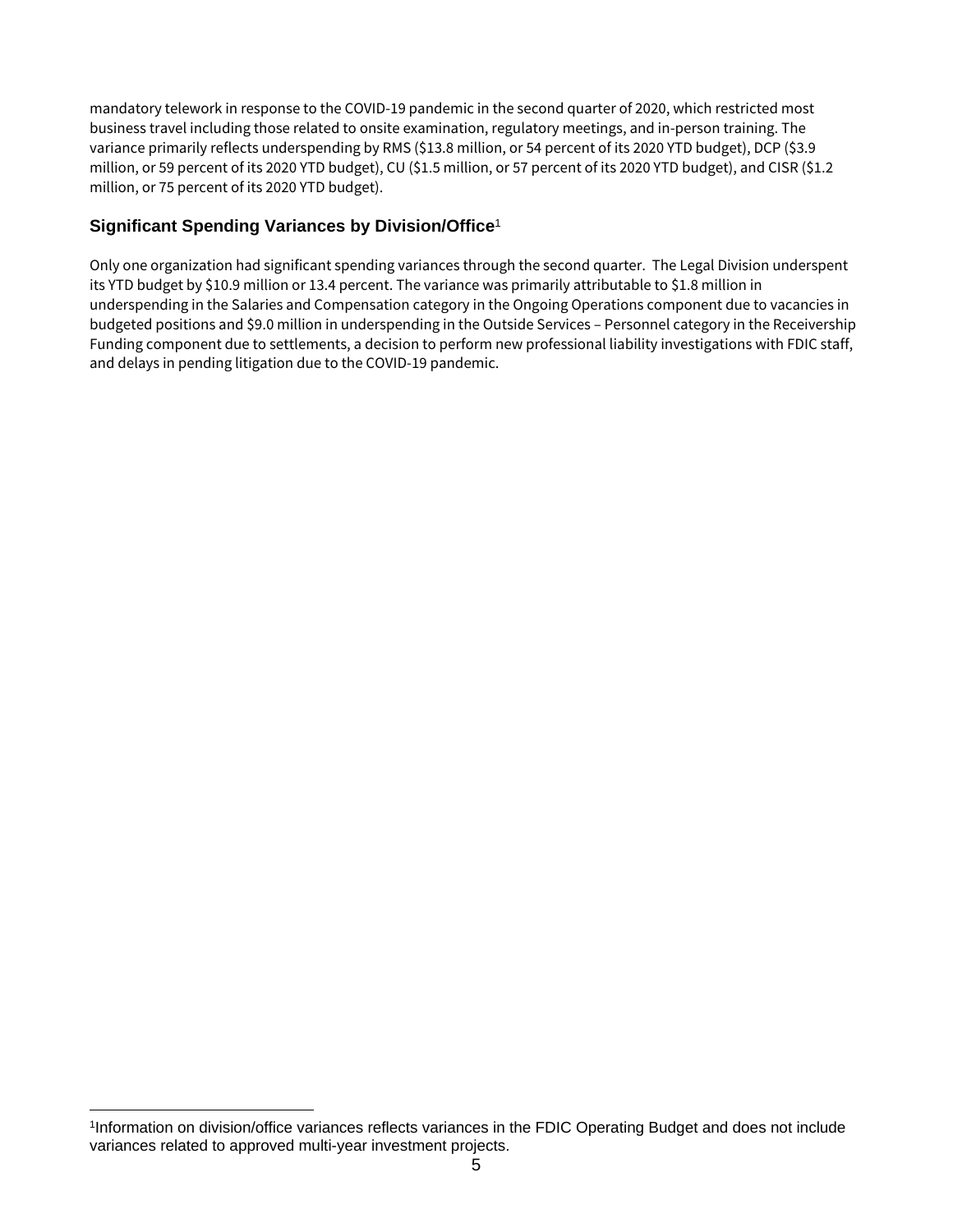mandatory telework in response to the COVID-19 pandemic in the second quarter of 2020, which restricted most business travel including those related to onsite examination, regulatory meetings, and in-person training. The variance primarily reflects underspending by RMS (\$13.8 million, or 54 percent of its 2020 YTD budget), DCP (\$3.9 million, or 59 percent of its 2020 YTD budget), CU (\$1.5 million, or 57 percent of its 2020 YTD budget), and CISR (\$1.2 million, or 75 percent of its 2020 YTD budget).

## **Significant Spending Variances by Division/Office**<sup>1</sup>

Only one organization had significant spending variances through the second quarter. The Legal Division underspent its YTD budget by \$10.9 million or 13.4 percent. The variance was primarily attributable to \$1.8 million in underspending in the Salaries and Compensation category in the Ongoing Operations component due to vacancies in budgeted positions and \$9.0 million in underspending in the Outside Services – Personnel category in the Receivership Funding component due to settlements, a decision to perform new professional liability investigations with FDIC staff, and delays in pending litigation due to the COVID-19 pandemic.

 $\overline{a}$ 1Information on division/office variances reflects variances in the FDIC Operating Budget and does not include variances related to approved multi-year investment projects.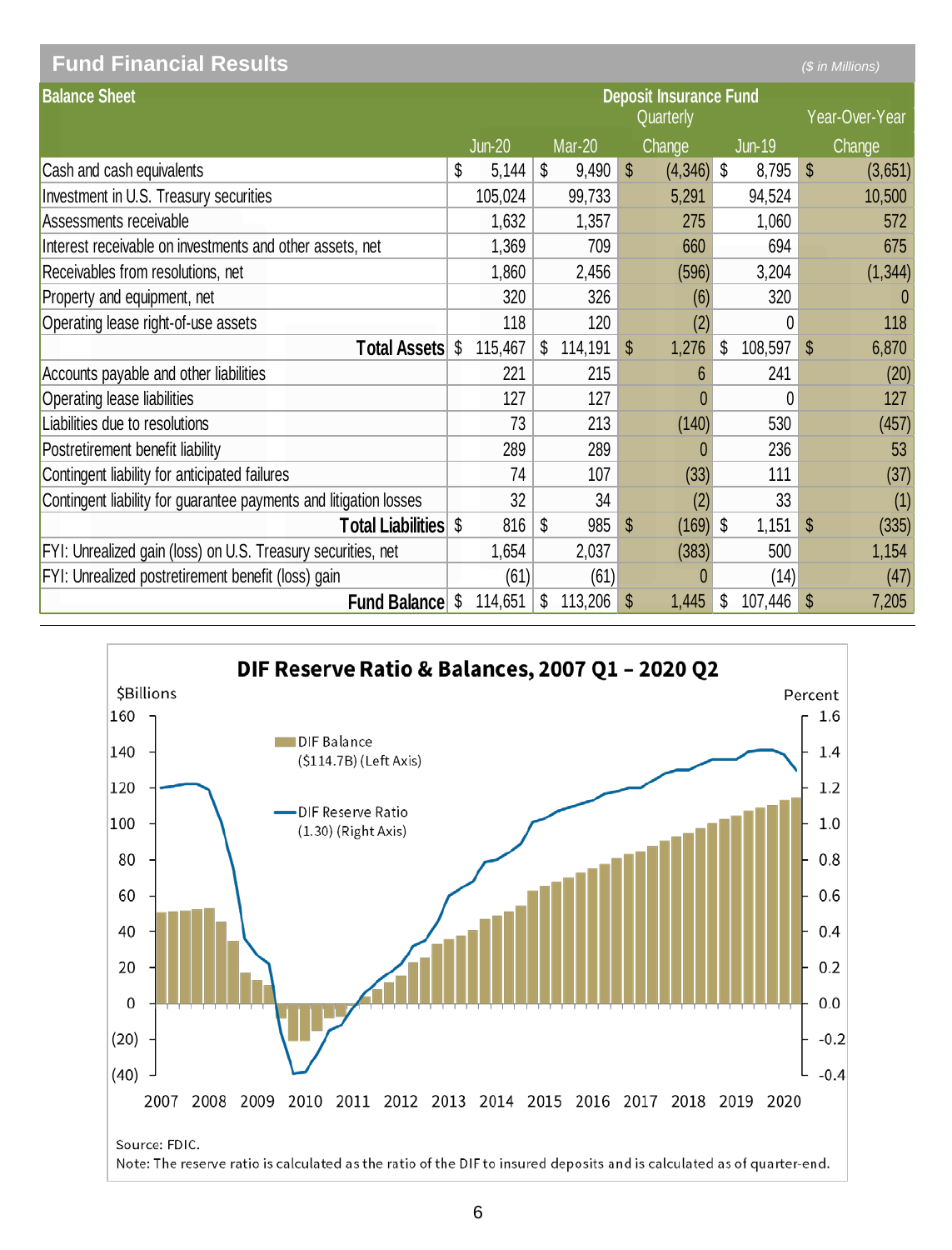| <b>Fund Financial Results</b>                                     |    |          |                                            |               |              |    |               |                | (\$ in Millions) |  |
|-------------------------------------------------------------------|----|----------|--------------------------------------------|---------------|--------------|----|---------------|----------------|------------------|--|
| <b>Balance Sheet</b>                                              |    |          | <b>Deposit Insurance Fund</b><br>Quarterly |               |              |    |               | Year-Over-Year |                  |  |
|                                                                   |    | $Jun-20$ | <b>Mar-20</b>                              |               | Change       |    | <b>Jun-19</b> |                | Change           |  |
| Cash and cash equivalents                                         | \$ | 5,144    | \$<br>9,490                                | $\mathcal{S}$ | $(4,346)$ \$ |    | 8,795         | $\mathbb{S}$   | (3,651)          |  |
| Investment in U.S. Treasury securities                            |    | 105,024  | 99,733                                     |               | 5,291        |    | 94,524        |                | 10,500           |  |
| Assessments receivable                                            |    | 1,632    | 1,357                                      |               | 275          |    | 1,060         |                | 572              |  |
| Interest receivable on investments and other assets, net          |    | 1,369    | 709                                        |               | 660          |    | 694           |                | 675              |  |
| Receivables from resolutions, net                                 |    | 1,860    | 2,456                                      |               | (596)        |    | 3,204         |                | (1, 344)         |  |
| Property and equipment, net                                       |    | 320      | 326                                        |               | (6)          |    | 320           |                | $\Omega$         |  |
| Operating lease right-of-use assets                               |    | 118      | 120                                        |               | (2)          |    | 0             |                | 118              |  |
| <b>Total Assets</b>                                               | \$ | 115,467  | 114,191<br>\$                              | \$            | 1,276        | \$ | 108,597       | \$             | 6,870            |  |
| Accounts payable and other liabilities                            |    | 221      | 215                                        |               | 6            |    | 241           |                | (20)             |  |
| Operating lease liabilities                                       |    | 127      | 127                                        |               | 0            |    | 0             |                | 127              |  |
| Liabilities due to resolutions                                    |    | 73       | 213                                        |               | (140)        |    | 530           |                | (457)            |  |
| Postretirement benefit liability                                  |    | 289      | 289                                        |               |              |    | 236           |                | 53               |  |
| Contingent liability for anticipated failures                     |    | 74       | 107                                        |               | (33)         |    | 111           |                | (37)             |  |
| Contingent liability for guarantee payments and litigation losses |    | 32       | 34                                         |               | (2)          |    | 33            |                | (1)              |  |
| <b>Total Liabilities</b>                                          | \$ | 816      | \$<br>985                                  | \$            | $(169)$ \$   |    | 1,151         | \$             | (335)            |  |
| FYI: Unrealized gain (loss) on U.S. Treasury securities, net      |    | 1,654    | 2,037                                      |               | (383)        |    | 500           |                | 1,154            |  |
| FYI: Unrealized postretirement benefit (loss) gain                |    | (61)     | (61)                                       |               |              |    | (14)          |                | (47)             |  |
| <b>Fund Balance</b>                                               | \$ | 114,651  | 113,206<br>\$                              | \$            | 1,445        | \$ | 107,446       | \$             | 7,205            |  |

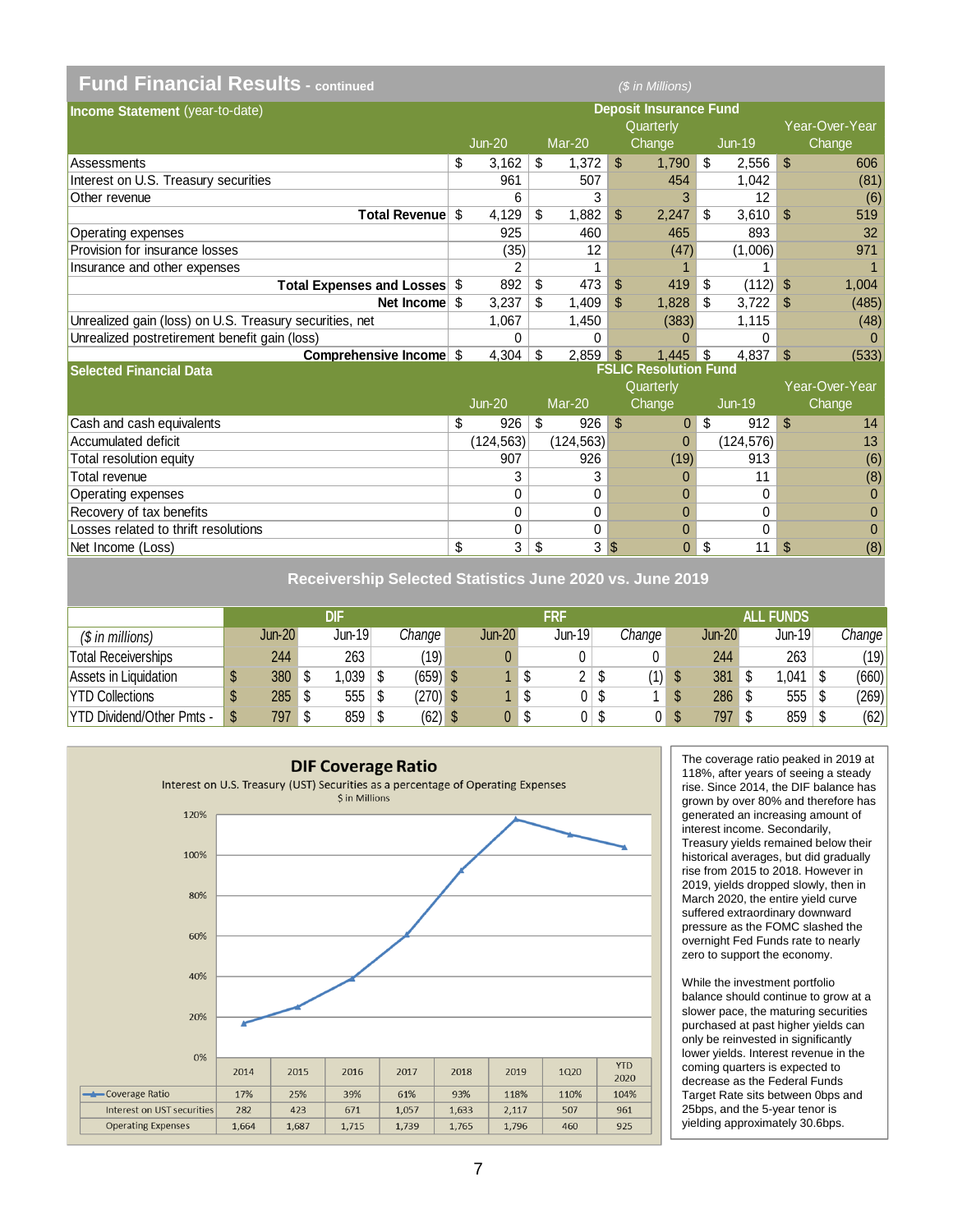| <b>Fund Financial Results - continued</b>               |               |                           |              |                | (\$ in Millions)                           |                |               |                |                |
|---------------------------------------------------------|---------------|---------------------------|--------------|----------------|--------------------------------------------|----------------|---------------|----------------|----------------|
| Income Statement (year-to-date)                         |               |                           |              |                | <b>Deposit Insurance Fund</b><br>Quarterly |                |               |                | Year-Over-Year |
|                                                         | <b>Jun-20</b> |                           | Mar-20       |                | Change                                     |                | $Jun-19$      |                | Change         |
| Assessments                                             | \$<br>3,162   | \$                        | 1,372        | $\mathfrak{L}$ | 1.790                                      | \$             | 2,556         | \$             | 606            |
| Interest on U.S. Treasury securities                    | 961           |                           | 507          |                | 454                                        |                | 1,042         |                | (81)           |
| Other revenue                                           | 6             |                           | 3            |                | 3                                          |                | 12            |                | (6)            |
| <b>Total Revenuel</b>                                   | \$<br>4,129   | \$                        | 1,882        | \$             | 2,247                                      | \$             | 3,610         | \$             | 519            |
| Operating expenses                                      | 925           |                           | 460          |                | 465                                        |                | 893           |                | 32             |
| <b>Provision for insurance losses</b>                   | (35)          |                           | 12           |                | (47)                                       |                | (1,006)       |                | 971            |
| Insurance and other expenses                            | 2             |                           | 1            |                |                                            |                | 1             |                |                |
| Total Expenses and Losses \$                            | 892           | \$                        | 473          | \$             | 419                                        | \$             | (112)         | \$.            | 1,004          |
| Net Income \$                                           | 3,237         | \$                        | 1.409        | \$.            | 1.828                                      | \$.            | 3,722         | \$             | (485)          |
| Unrealized gain (loss) on U.S. Treasury securities, net | 1.067         |                           | 1,450        |                | (383)                                      |                | 1,115         |                | (48)           |
| Unrealized postretirement benefit gain (loss)           | 0             |                           | $\Omega$     |                |                                            |                | 0             |                | 0              |
| Comprehensive Income \$                                 | 4,304         | $\boldsymbol{\mathsf{S}}$ | 2,859        | \$             | 1,445                                      | \$             | 4,837         | \$             | (533)          |
| <b>Selected Financial Data</b>                          |               |                           |              |                | <b>FSLIC Resolution Fund</b>               |                |               |                |                |
|                                                         |               |                           |              |                | Quarterly                                  |                |               |                | Year-Over-Year |
|                                                         | $Jun-20$      |                           | Mar-20       |                | Change                                     |                | <b>Jun-19</b> |                | Change         |
| Cash and cash equivalents                               | \$<br>926     | \$                        | 926          | $\mathcal{S}$  | $\Omega$                                   | $\mathfrak{L}$ | 912           | $\mathfrak{L}$ | 14             |
| Accumulated deficit                                     | (124, 563)    |                           | (124, 563)   |                | $\Omega$                                   |                | (124, 576)    |                | 13             |
| Total resolution equity                                 | 907           |                           | 926          |                | (19)                                       |                | 913           |                | (6)            |
| Total revenue                                           | 3             |                           | 3            |                | 0                                          |                | 11            |                | (8)            |
| Operating expenses                                      | 0             |                           | 0            |                | $\Omega$                                   |                | 0             |                | $\Omega$       |
| Recovery of tax benefits                                | $\mathbf{0}$  |                           | $\mathbf{0}$ |                | $\Omega$                                   |                | 0             |                | $\mathbf{0}$   |
| Losses related to thrift resolutions                    | 0             |                           | $\mathbf{0}$ |                | $\mathbf{0}$                               |                | 0             |                | $\Omega$       |
| Net Income (Loss)                                       | \$<br>3       | \$                        | 3            | $\sqrt{3}$     | 0                                          | \$             | 11            | \$             | (8)            |

**Receivership Selected Statistics June 2020 vs. June 2019**

|                            | DIF |               |  | FRF    |            |             |  | <b>ALL FUNDS</b> |  |        |   |               |   |          |  |        |
|----------------------------|-----|---------------|--|--------|------------|-------------|--|------------------|--|--------|---|---------------|---|----------|--|--------|
| (\$ in millions)           |     | <b>Jun-20</b> |  | Jun-19 | Change     | $Jun-20$    |  | Jun-19           |  | Change |   | <b>Jun-20</b> |   | $Jun-19$ |  | Change |
| <b>Total Receiverships</b> |     | 244           |  | 263    | (19)       |             |  |                  |  |        |   | 244           |   | 263      |  | (19)   |
| Assets in Liquidation      | Φ   | 380           |  | ,039   | (659)      |             |  |                  |  | (1)    |   | 381           | ⋒ | 1,041    |  | (660)  |
| <b>YTD Collections</b>     | ω   | 285           |  | 555    | $(270)$ \$ |             |  | 0                |  |        | S | 286           | S | 555      |  | (269)  |
| YTD Dividend/Other Pmts -  | œ   | 797           |  | 859    | (62)       | $0^{\circ}$ |  | 0                |  |        |   | 797           | S | 859      |  | (62)   |



The coverage ratio peaked in 2019 at 118%, after years of seeing a steady rise. Since 2014, the DIF balance has grown by over 80% and therefore has generated an increasing amount of interest income. Secondarily, Treasury yields remained below their historical averages, but did gradually rise from 2015 to 2018. However in 2019, yields dropped slowly, then in March 2020, the entire yield curve suffered extraordinary downward pressure as the FOMC slashed the overnight Fed Funds rate to nearly zero to support the economy.

While the investment portfolio balance should continue to grow at a slower pace, the maturing securities purchased at past higher yields can only be reinvested in significantly lower yields. Interest revenue in the coming quarters is expected to decrease as the Federal Funds Target Rate sits between 0bps and 25bps, and the 5-year tenor is yielding approximately 30.6bps.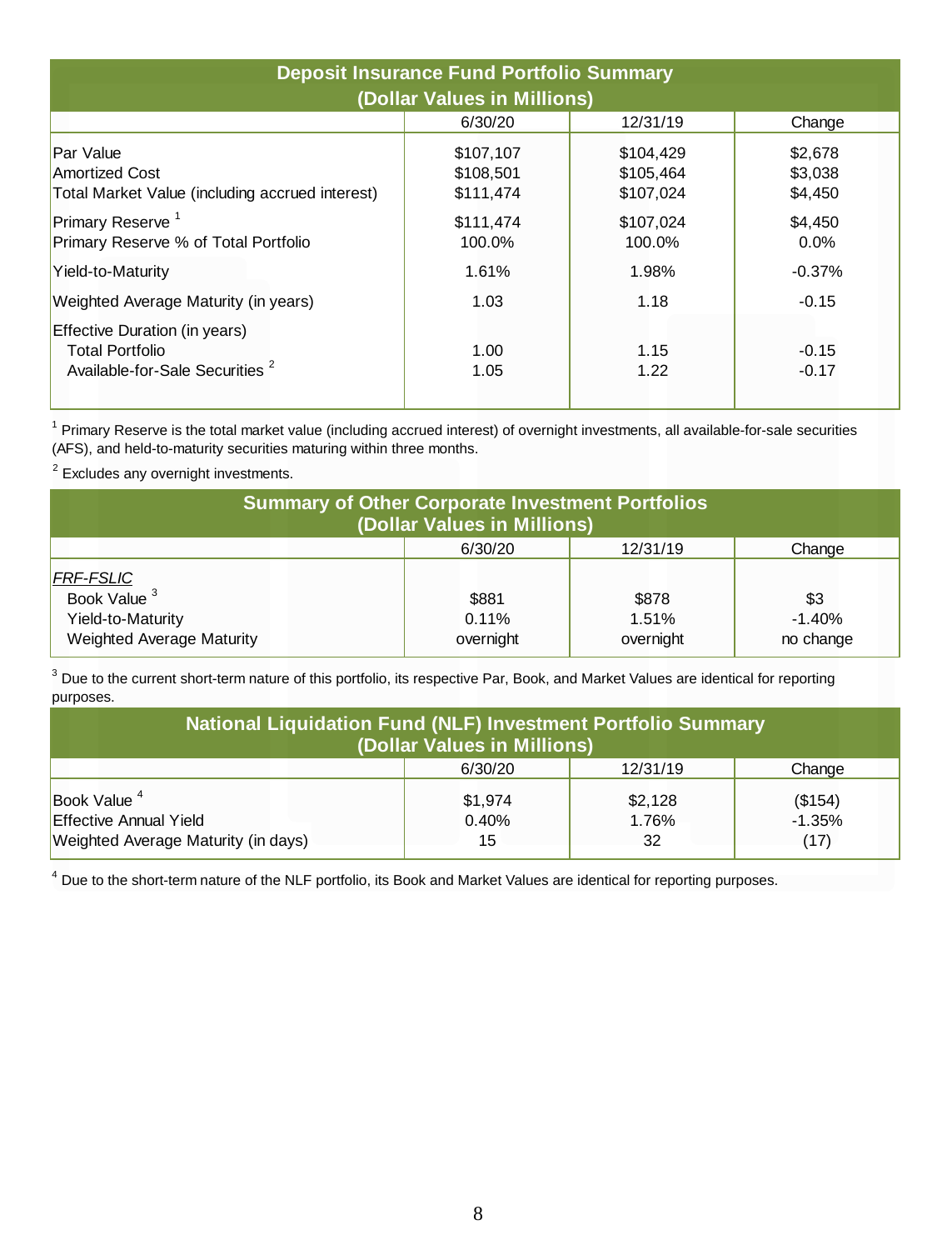| <b>Deposit Insurance Fund Portfolio Summary</b><br>(Dollar Values in Millions)                        |                                     |                                     |                               |  |  |  |  |  |  |
|-------------------------------------------------------------------------------------------------------|-------------------------------------|-------------------------------------|-------------------------------|--|--|--|--|--|--|
|                                                                                                       | 6/30/20                             | 12/31/19                            | Change                        |  |  |  |  |  |  |
| Par Value<br><b>Amortized Cost</b><br>Total Market Value (including accrued interest)                 | \$107,107<br>\$108.501<br>\$111,474 | \$104,429<br>\$105,464<br>\$107,024 | \$2,678<br>\$3,038<br>\$4,450 |  |  |  |  |  |  |
| Primary Reserve <sup>1</sup><br>Primary Reserve % of Total Portfolio                                  | \$111,474<br>100.0%                 | \$107,024<br>100.0%                 | \$4,450<br>$0.0\%$            |  |  |  |  |  |  |
| Yield-to-Maturity                                                                                     | 1.61%                               | 1.98%                               | $-0.37\%$                     |  |  |  |  |  |  |
| Weighted Average Maturity (in years)                                                                  | 1.03                                | 1.18                                | $-0.15$                       |  |  |  |  |  |  |
| Effective Duration (in years)<br><b>Total Portfolio</b><br>Available-for-Sale Securities <sup>2</sup> | 1.00<br>1.05                        | 1.15<br>1.22                        | $-0.15$<br>$-0.17$            |  |  |  |  |  |  |

1 Primary Reserve is the total market value (including accrued interest) of overnight investments, all available-for-sale securities (AFS), and held-to-maturity securities maturing within three months.

<sup>2</sup> Excludes any overnight investments.

| <b>Summary of Other Corporate Investment Portfolios</b><br>(Dollar Values in Millions)        |                             |                             |                              |  |  |  |  |  |  |  |
|-----------------------------------------------------------------------------------------------|-----------------------------|-----------------------------|------------------------------|--|--|--|--|--|--|--|
|                                                                                               | 6/30/20                     | 12/31/19                    | Change                       |  |  |  |  |  |  |  |
| <b>FRF-FSLIC</b><br>Book Value <sup>3</sup><br>Yield-to-Maturity<br>Weighted Average Maturity | \$881<br>0.11%<br>overnight | \$878<br>1.51%<br>overnight | \$3<br>$-1.40%$<br>no change |  |  |  |  |  |  |  |

 $3$  Due to the current short-term nature of this portfolio, its respective Par, Book, and Market Values are identical for reporting purposes.

| <b>National Liquidation Fund (NLF) Investment Portfolio Summary</b><br>(Dollar Values in Millions) |                        |                        |                             |  |  |  |  |  |  |  |
|----------------------------------------------------------------------------------------------------|------------------------|------------------------|-----------------------------|--|--|--|--|--|--|--|
|                                                                                                    | 6/30/20                | 12/31/19               | Change                      |  |  |  |  |  |  |  |
| Book Value $4$<br><b>Effective Annual Yield</b><br><b>Weighted Average Maturity (in days)</b>      | \$1,974<br>0.40%<br>15 | \$2,128<br>1.76%<br>32 | (\$154)<br>$-1.35%$<br>(17) |  |  |  |  |  |  |  |

<sup>4</sup> Due to the short-term nature of the NLF portfolio, its Book and Market Values are identical for reporting purposes.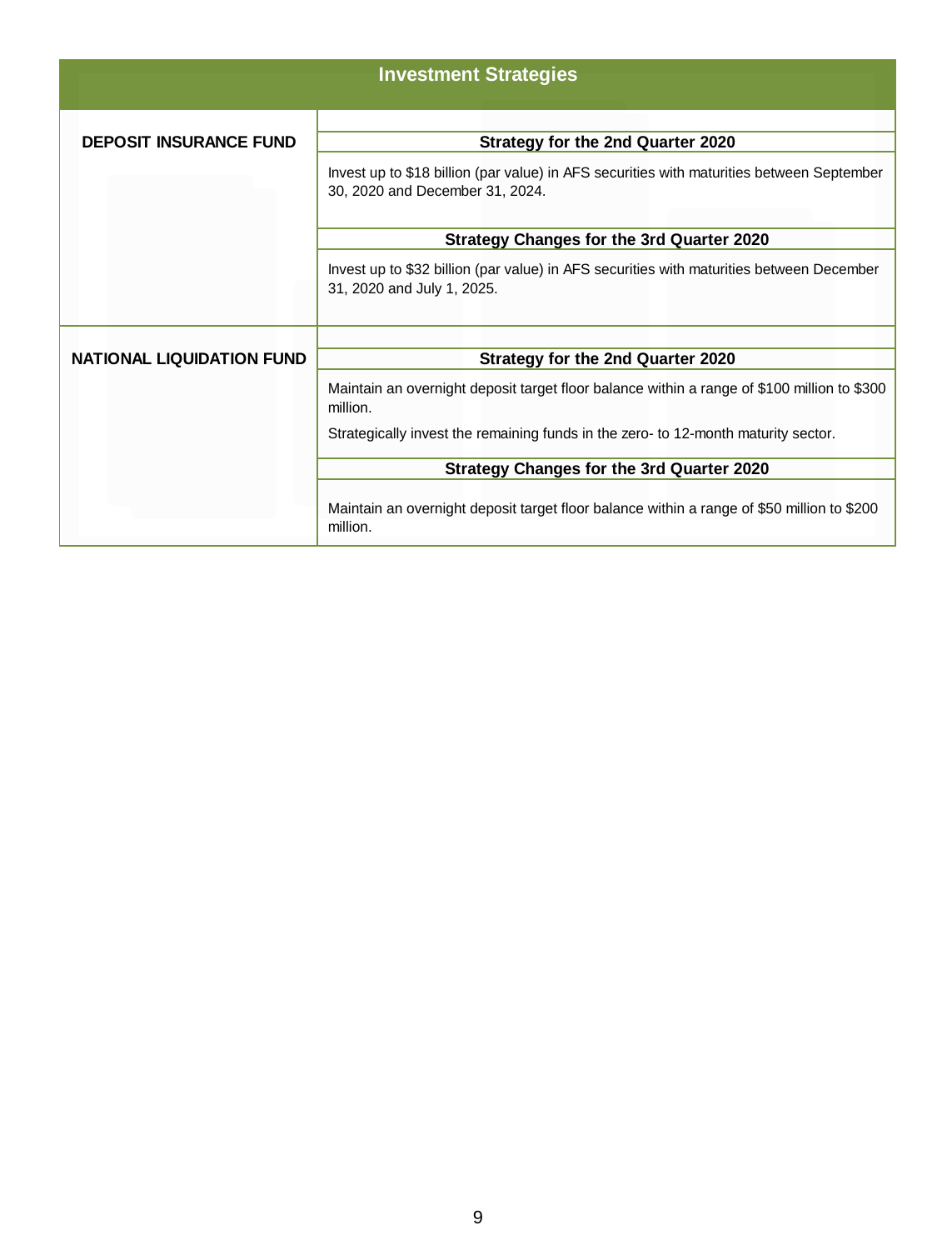|                               | <b>Investment Strategies</b>                                                                                                 |  |  |  |  |  |  |
|-------------------------------|------------------------------------------------------------------------------------------------------------------------------|--|--|--|--|--|--|
| <b>DEPOSIT INSURANCE FUND</b> | <b>Strategy for the 2nd Quarter 2020</b>                                                                                     |  |  |  |  |  |  |
|                               | Invest up to \$18 billion (par value) in AFS securities with maturities between September<br>30, 2020 and December 31, 2024. |  |  |  |  |  |  |
|                               | <b>Strategy Changes for the 3rd Quarter 2020</b>                                                                             |  |  |  |  |  |  |
|                               | Invest up to \$32 billion (par value) in AFS securities with maturities between December<br>31, 2020 and July 1, 2025.       |  |  |  |  |  |  |
|                               |                                                                                                                              |  |  |  |  |  |  |
| NATIONAL LIQUIDATION FUND     | <b>Strategy for the 2nd Quarter 2020</b>                                                                                     |  |  |  |  |  |  |
|                               | Maintain an overnight deposit target floor balance within a range of \$100 million to \$300<br>million.                      |  |  |  |  |  |  |
|                               | Strategically invest the remaining funds in the zero- to 12-month maturity sector.                                           |  |  |  |  |  |  |
|                               | <b>Strategy Changes for the 3rd Quarter 2020</b>                                                                             |  |  |  |  |  |  |
|                               | Maintain an overnight deposit target floor balance within a range of \$50 million to \$200<br>million.                       |  |  |  |  |  |  |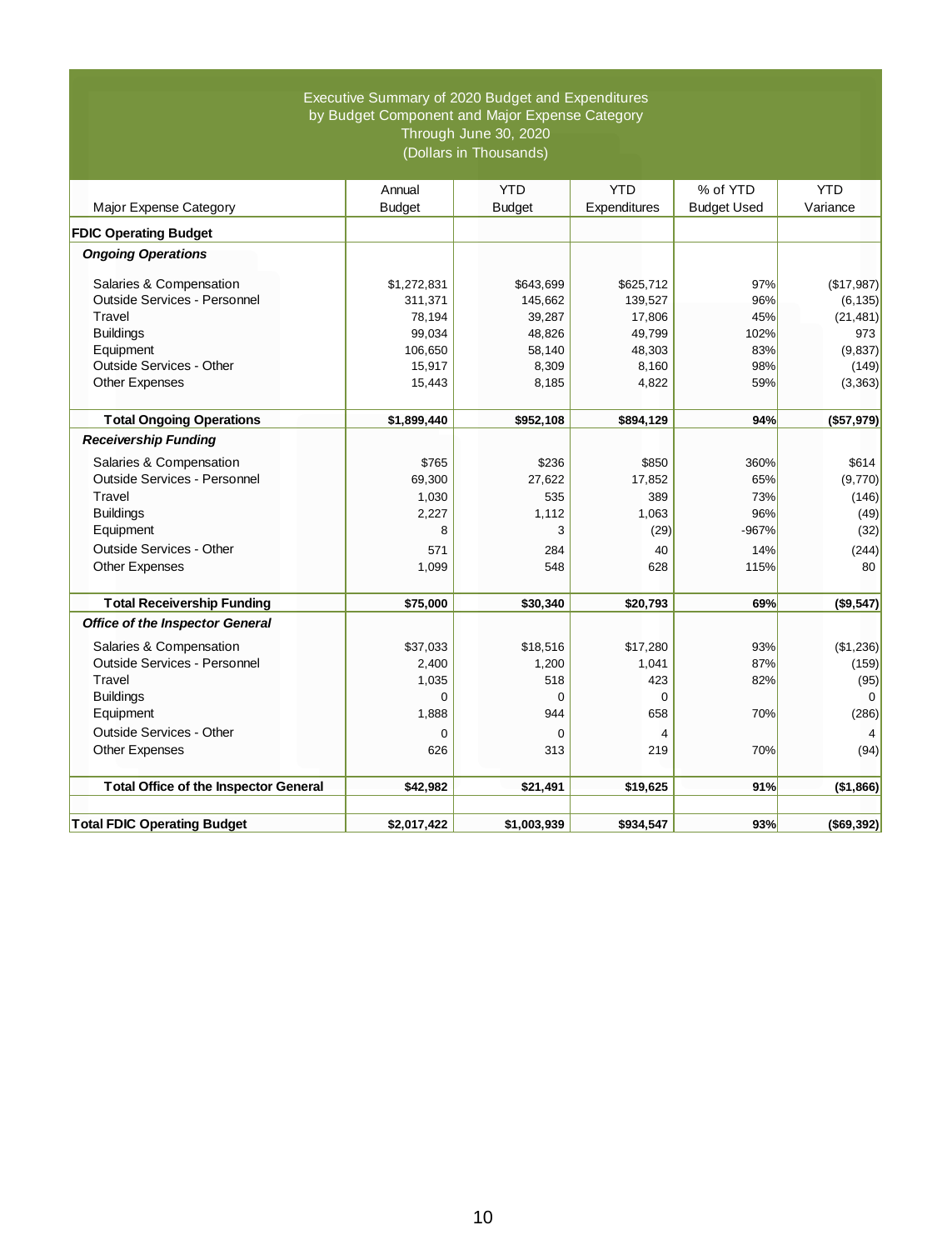#### Executive Summary of 2020 Budget and Expenditures by Budget Component and Major Expense Category Through June 30, 2020 (Dollars in Thousands)

|                                              | Annual        | <b>YTD</b>    | <b>YTD</b>   | % of YTD           | <b>YTD</b>   |
|----------------------------------------------|---------------|---------------|--------------|--------------------|--------------|
| Major Expense Category                       | <b>Budget</b> | <b>Budget</b> | Expenditures | <b>Budget Used</b> | Variance     |
| <b>FDIC Operating Budget</b>                 |               |               |              |                    |              |
| <b>Ongoing Operations</b>                    |               |               |              |                    |              |
| Salaries & Compensation                      | \$1,272,831   | \$643,699     | \$625,712    | 97%                | (\$17,987)   |
| Outside Services - Personnel                 | 311,371       | 145,662       | 139,527      | 96%                | (6, 135)     |
| Travel                                       | 78.194        | 39,287        | 17,806       | 45%                | (21, 481)    |
| <b>Buildings</b>                             | 99,034        | 48,826        | 49,799       | 102%               | 973          |
| Equipment                                    | 106,650       | 58,140        | 48,303       | 83%                | (9,837)      |
| Outside Services - Other                     | 15,917        | 8,309         | 8.160        | 98%                | (149)        |
| <b>Other Expenses</b>                        | 15,443        | 8,185         | 4,822        | 59%                | (3, 363)     |
| <b>Total Ongoing Operations</b>              | \$1,899,440   | \$952,108     | \$894,129    | 94%                | (\$57,979)   |
| <b>Receivership Funding</b>                  |               |               |              |                    |              |
| Salaries & Compensation                      | \$765         | \$236         | \$850        | 360%               | \$614        |
| Outside Services - Personnel                 | 69,300        | 27.622        | 17.852       | 65%                | (9,770)      |
| Travel                                       | 1,030         | 535           | 389          | 73%                | (146)        |
| <b>Buildings</b>                             | 2,227         | 1,112         | 1.063        | 96%                | (49)         |
| Equipment                                    | 8             | 3             | (29)         | $-967%$            | (32)         |
| Outside Services - Other                     | 571           | 284           | 40           | 14%                | (244)        |
| <b>Other Expenses</b>                        | 1,099         | 548           | 628          | 115%               | 80           |
| <b>Total Receivership Funding</b>            | \$75,000      | \$30.340      | \$20.793     | 69%                | (\$9,547)    |
| <b>Office of the Inspector General</b>       |               |               |              |                    |              |
| Salaries & Compensation                      | \$37.033      | \$18.516      | \$17.280     | 93%                | (\$1,236)    |
| Outside Services - Personnel                 | 2,400         | 1,200         | 1,041        | 87%                | (159)        |
| Travel                                       | 1.035         | 518           | 423          | 82%                | (95)         |
| <b>Buildings</b>                             | $\Omega$      | $\Omega$      | $\Omega$     |                    | $\Omega$     |
| Equipment                                    | 1,888         | 944           | 658          | 70%                | (286)        |
| Outside Services - Other                     | $\Omega$      | $\Omega$      | 4            |                    | 4            |
| <b>Other Expenses</b>                        | 626           | 313           | 219          | 70%                | (94)         |
| <b>Total Office of the Inspector General</b> | \$42,982      | \$21,491      | \$19,625     | 91%                | (\$1,866)    |
| <b>Total FDIC Operating Budget</b>           | \$2.017.422   | \$1.003.939   | \$934.547    | 93%                | ( \$69, 392) |